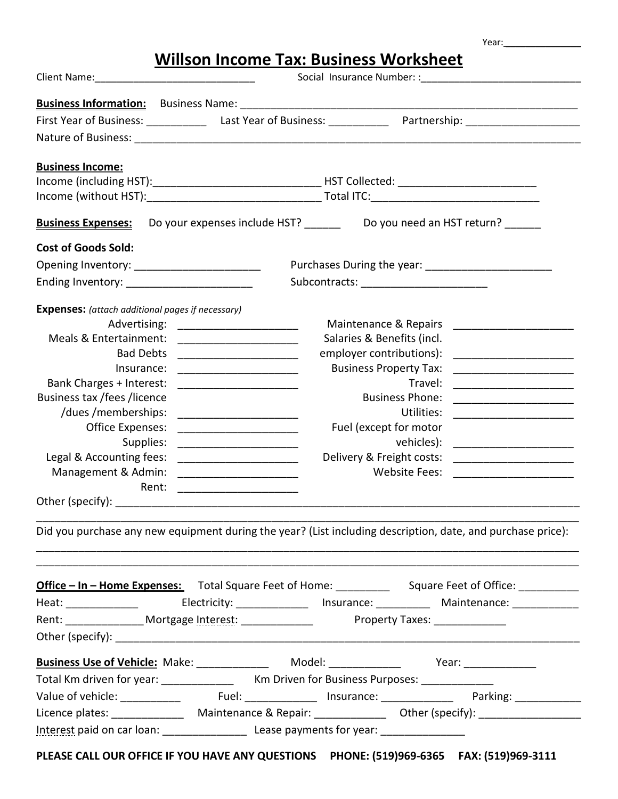|  |  | Willson Income Tax: Business Worksheet |
|--|--|----------------------------------------|
|  |  |                                        |

Year: **\_\_\_\_\_\_\_\_\_\_\_\_\_\_\_**

| <b>Business Income:</b>                                                                 |                                                                 |                                                                                                                               |  |  |  |
|-----------------------------------------------------------------------------------------|-----------------------------------------------------------------|-------------------------------------------------------------------------------------------------------------------------------|--|--|--|
|                                                                                         |                                                                 |                                                                                                                               |  |  |  |
|                                                                                         |                                                                 |                                                                                                                               |  |  |  |
| <b>Business Expenses:</b>                                                               |                                                                 | Do your expenses include HST? ________ Do you need an HST return? _______                                                     |  |  |  |
| <b>Cost of Goods Sold:</b>                                                              |                                                                 |                                                                                                                               |  |  |  |
|                                                                                         |                                                                 |                                                                                                                               |  |  |  |
|                                                                                         |                                                                 |                                                                                                                               |  |  |  |
|                                                                                         |                                                                 |                                                                                                                               |  |  |  |
| <b>Expenses:</b> (attach additional pages if necessary)                                 |                                                                 |                                                                                                                               |  |  |  |
| Advertising:<br>Meals & Entertainment:                                                  |                                                                 | Maintenance & Repairs<br><u> 1980 - Jan Barbara, politik eta pro</u><br>Salaries & Benefits (incl.                            |  |  |  |
| <b>Bad Debts</b>                                                                        | <u> 2002 - Johann John Stein, mars an deutscher Stein († 18</u> | employer contributions):                                                                                                      |  |  |  |
| Insurance:                                                                              |                                                                 | <b>Business Property Tax:</b>                                                                                                 |  |  |  |
| Bank Charges + Interest:                                                                |                                                                 | Travel:                                                                                                                       |  |  |  |
| Business tax / fees / licence                                                           |                                                                 | <b>Business Phone:</b>                                                                                                        |  |  |  |
| /dues/memberships:                                                                      | <u> 1989 - Jan Samuel Barbara, martin d</u>                     | Utilities:<br>the contract of the contract of the contract of the contract of the contract of the contract of the contract of |  |  |  |
| Office Expenses:                                                                        |                                                                 | Fuel (except for motor                                                                                                        |  |  |  |
| Supplies:                                                                               |                                                                 | vehicles):                                                                                                                    |  |  |  |
| Legal & Accounting fees:                                                                |                                                                 | Delivery & Freight costs:                                                                                                     |  |  |  |
| Management & Admin:                                                                     |                                                                 | <b>Website Fees:</b>                                                                                                          |  |  |  |
| Rent:                                                                                   |                                                                 |                                                                                                                               |  |  |  |
|                                                                                         |                                                                 |                                                                                                                               |  |  |  |
|                                                                                         |                                                                 |                                                                                                                               |  |  |  |
|                                                                                         |                                                                 | Did you purchase any new equipment during the year? (List including description, date, and purchase price):                   |  |  |  |
|                                                                                         |                                                                 |                                                                                                                               |  |  |  |
|                                                                                         |                                                                 |                                                                                                                               |  |  |  |
|                                                                                         |                                                                 | Office - In - Home Expenses: Total Square Feet of Home: ____________ Square Feet of Office: ___________                       |  |  |  |
|                                                                                         |                                                                 |                                                                                                                               |  |  |  |
|                                                                                         |                                                                 |                                                                                                                               |  |  |  |
|                                                                                         |                                                                 |                                                                                                                               |  |  |  |
| Business Use of Vehicle: Make: _______________ Model: ______________ Year: ____________ |                                                                 |                                                                                                                               |  |  |  |
| Total Km driven for year: _____________ Km Driven for Business Purposes: ____________   |                                                                 |                                                                                                                               |  |  |  |
|                                                                                         |                                                                 |                                                                                                                               |  |  |  |
|                                                                                         |                                                                 |                                                                                                                               |  |  |  |
|                                                                                         |                                                                 |                                                                                                                               |  |  |  |
|                                                                                         |                                                                 |                                                                                                                               |  |  |  |
|                                                                                         |                                                                 | CE CALL OUR OFFICE IF VOLLUANE ANY OUFSTIONS DUONE (FAO)ASO CASE FAV. (FAO)ASO 3444                                           |  |  |  |

**PLEASE CALL OUR OFFICE IF YOU HAVE ANY QUESTIONS PHONE: (519)969-6365 FAX: (519)969-3111**